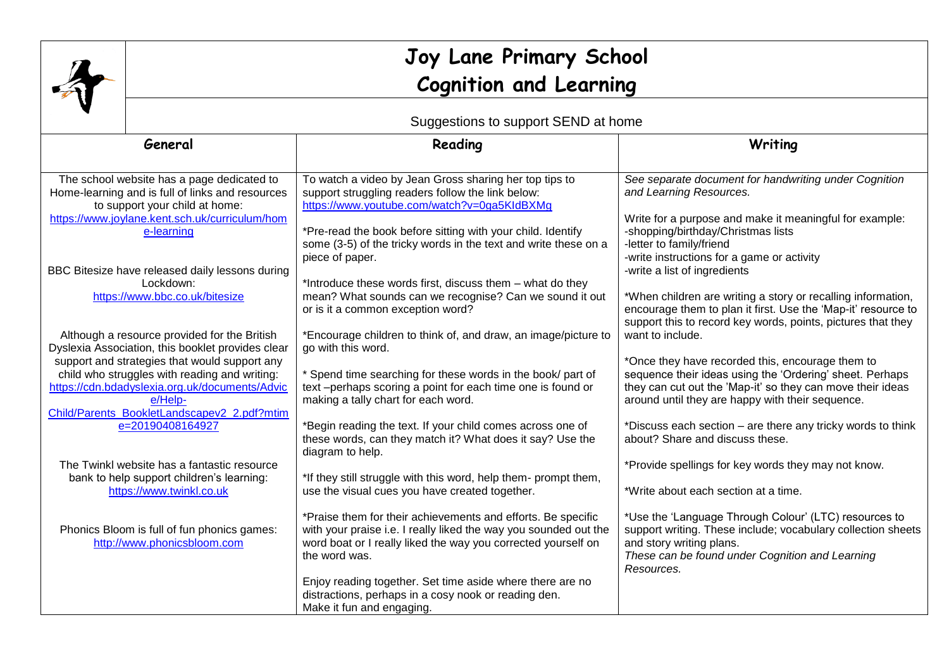|                                                                                                                                                                                                                                                                                                    | Joy Lane Primary School<br><b>Cognition and Learning</b>                                                                                                                                                                                                                                                                            |                                                                                                                                                                                                                                                                                                                                                                                                                                                                              |                                                                                                                                                                                                                                                                                                                                                                                                                                                                                              |  |  |
|----------------------------------------------------------------------------------------------------------------------------------------------------------------------------------------------------------------------------------------------------------------------------------------------------|-------------------------------------------------------------------------------------------------------------------------------------------------------------------------------------------------------------------------------------------------------------------------------------------------------------------------------------|------------------------------------------------------------------------------------------------------------------------------------------------------------------------------------------------------------------------------------------------------------------------------------------------------------------------------------------------------------------------------------------------------------------------------------------------------------------------------|----------------------------------------------------------------------------------------------------------------------------------------------------------------------------------------------------------------------------------------------------------------------------------------------------------------------------------------------------------------------------------------------------------------------------------------------------------------------------------------------|--|--|
|                                                                                                                                                                                                                                                                                                    | Suggestions to support SEND at home                                                                                                                                                                                                                                                                                                 |                                                                                                                                                                                                                                                                                                                                                                                                                                                                              |                                                                                                                                                                                                                                                                                                                                                                                                                                                                                              |  |  |
|                                                                                                                                                                                                                                                                                                    | General                                                                                                                                                                                                                                                                                                                             | Reading                                                                                                                                                                                                                                                                                                                                                                                                                                                                      | Writing                                                                                                                                                                                                                                                                                                                                                                                                                                                                                      |  |  |
| The school website has a page dedicated to<br>Home-learning and is full of links and resources<br>to support your child at home:<br>https://www.joylane.kent.sch.uk/curriculum/hom<br>e-learning<br>BBC Bitesize have released daily lessons during<br>Lockdown:<br>https://www.bbc.co.uk/bitesize |                                                                                                                                                                                                                                                                                                                                     | To watch a video by Jean Gross sharing her top tips to<br>support struggling readers follow the link below:<br>https://www.youtube.com/watch?v=0ga5KIdBXMg<br>*Pre-read the book before sitting with your child. Identify<br>some (3-5) of the tricky words in the text and write these on a<br>piece of paper.<br>*Introduce these words first, discuss them - what do they<br>mean? What sounds can we recognise? Can we sound it out<br>or is it a common exception word? | See separate document for handwriting under Cognition<br>and Learning Resources.<br>Write for a purpose and make it meaningful for example:<br>-shopping/birthday/Christmas lists<br>-letter to family/friend<br>-write instructions for a game or activity<br>-write a list of ingredients<br>*When children are writing a story or recalling information,<br>encourage them to plan it first. Use the 'Map-it' resource to<br>support this to record key words, points, pictures that they |  |  |
|                                                                                                                                                                                                                                                                                                    | Although a resource provided for the British<br>Dyslexia Association, this booklet provides clear<br>support and strategies that would support any<br>child who struggles with reading and writing:<br>https://cdn.bdadyslexia.org.uk/documents/Advic<br>e/Help-<br>Child/Parents BookletLandscapev2 2.pdf?mtim<br>e=20190408164927 | *Encourage children to think of, and draw, an image/picture to<br>go with this word.<br>* Spend time searching for these words in the book/ part of<br>text -perhaps scoring a point for each time one is found or<br>making a tally chart for each word.<br>*Begin reading the text. If your child comes across one of<br>these words, can they match it? What does it say? Use the<br>diagram to help.                                                                     | want to include.<br>*Once they have recorded this, encourage them to<br>sequence their ideas using the 'Ordering' sheet. Perhaps<br>they can cut out the 'Map-it' so they can move their ideas<br>around until they are happy with their sequence.<br>*Discuss each section – are there any tricky words to think<br>about? Share and discuss these.                                                                                                                                         |  |  |
|                                                                                                                                                                                                                                                                                                    | The Twinkl website has a fantastic resource<br>bank to help support children's learning:<br>https://www.twinkl.co.uk<br>Phonics Bloom is full of fun phonics games:<br>http://www.phonicsbloom.com                                                                                                                                  | *If they still struggle with this word, help them- prompt them,<br>use the visual cues you have created together.<br>*Praise them for their achievements and efforts. Be specific<br>with your praise i.e. I really liked the way you sounded out the<br>word boat or I really liked the way you corrected yourself on                                                                                                                                                       | *Provide spellings for key words they may not know.<br>*Write about each section at a time.<br>*Use the 'Language Through Colour' (LTC) resources to<br>support writing. These include; vocabulary collection sheets<br>and story writing plans.                                                                                                                                                                                                                                             |  |  |
|                                                                                                                                                                                                                                                                                                    |                                                                                                                                                                                                                                                                                                                                     | the word was.<br>Enjoy reading together. Set time aside where there are no<br>distractions, perhaps in a cosy nook or reading den.<br>Make it fun and engaging.                                                                                                                                                                                                                                                                                                              | These can be found under Cognition and Learning<br>Resources.                                                                                                                                                                                                                                                                                                                                                                                                                                |  |  |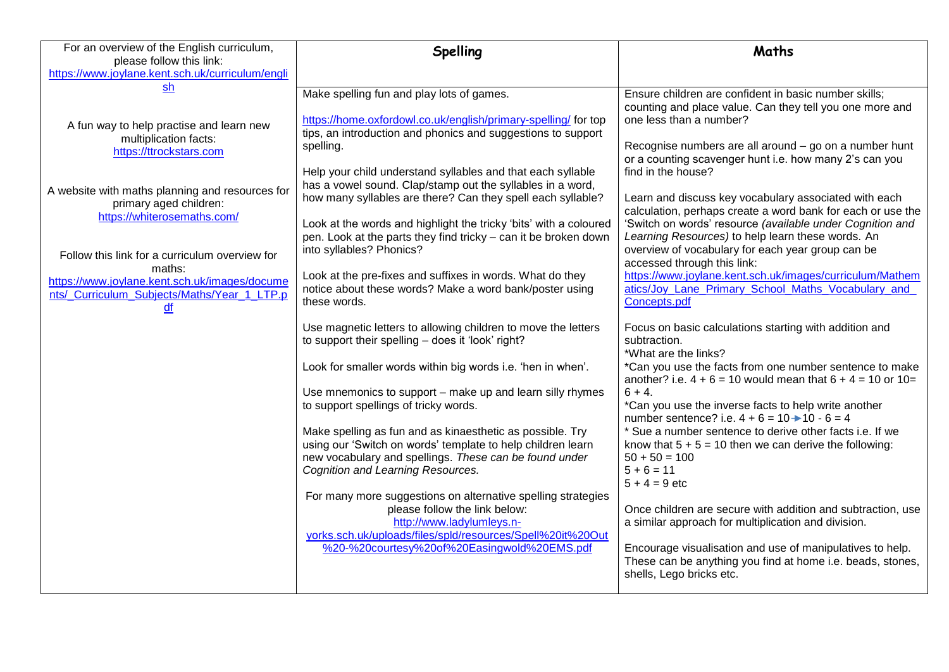| For an overview of the English curriculum,                                                                                                                                                                                                                                                                                                                                                     | Spelling                                                                                                                                                                                                                                                                                                                                                                                                                                                                                                                                                                                                                                                                                                                                                                                                                                                                                                                                                                                                                                                                                                                                                                                                                                                                                                                                                                                                                                                          | Maths                                                                                                                                                                                                                                                                                                                                                                                                                                                                                                                                                                                                                                                                                                                                                                                                                                                                                                                                                                                                                                                                                                                                                                                                                                                                                                                                                                                                                                                                                  |
|------------------------------------------------------------------------------------------------------------------------------------------------------------------------------------------------------------------------------------------------------------------------------------------------------------------------------------------------------------------------------------------------|-------------------------------------------------------------------------------------------------------------------------------------------------------------------------------------------------------------------------------------------------------------------------------------------------------------------------------------------------------------------------------------------------------------------------------------------------------------------------------------------------------------------------------------------------------------------------------------------------------------------------------------------------------------------------------------------------------------------------------------------------------------------------------------------------------------------------------------------------------------------------------------------------------------------------------------------------------------------------------------------------------------------------------------------------------------------------------------------------------------------------------------------------------------------------------------------------------------------------------------------------------------------------------------------------------------------------------------------------------------------------------------------------------------------------------------------------------------------|----------------------------------------------------------------------------------------------------------------------------------------------------------------------------------------------------------------------------------------------------------------------------------------------------------------------------------------------------------------------------------------------------------------------------------------------------------------------------------------------------------------------------------------------------------------------------------------------------------------------------------------------------------------------------------------------------------------------------------------------------------------------------------------------------------------------------------------------------------------------------------------------------------------------------------------------------------------------------------------------------------------------------------------------------------------------------------------------------------------------------------------------------------------------------------------------------------------------------------------------------------------------------------------------------------------------------------------------------------------------------------------------------------------------------------------------------------------------------------------|
| please follow this link:<br>https://www.joylane.kent.sch.uk/curriculum/engli                                                                                                                                                                                                                                                                                                                   |                                                                                                                                                                                                                                                                                                                                                                                                                                                                                                                                                                                                                                                                                                                                                                                                                                                                                                                                                                                                                                                                                                                                                                                                                                                                                                                                                                                                                                                                   |                                                                                                                                                                                                                                                                                                                                                                                                                                                                                                                                                                                                                                                                                                                                                                                                                                                                                                                                                                                                                                                                                                                                                                                                                                                                                                                                                                                                                                                                                        |
| sh<br>A fun way to help practise and learn new<br>multiplication facts:<br>https://ttrockstars.com<br>A website with maths planning and resources for<br>primary aged children:<br>https://whiterosemaths.com/<br>Follow this link for a curriculum overview for<br>maths:<br>https://www.joylane.kent.sch.uk/images/docume<br>nts/_Curriculum_Subjects/Maths/Year_1_LTP.p<br>$\underline{df}$ | Make spelling fun and play lots of games.<br>https://home.oxfordowl.co.uk/english/primary-spelling/ for top<br>tips, an introduction and phonics and suggestions to support<br>spelling.<br>Help your child understand syllables and that each syllable<br>has a vowel sound. Clap/stamp out the syllables in a word,<br>how many syllables are there? Can they spell each syllable?<br>Look at the words and highlight the tricky 'bits' with a coloured<br>pen. Look at the parts they find tricky - can it be broken down<br>into syllables? Phonics?<br>Look at the pre-fixes and suffixes in words. What do they<br>notice about these words? Make a word bank/poster using<br>these words.<br>Use magnetic letters to allowing children to move the letters<br>to support their spelling - does it 'look' right?<br>Look for smaller words within big words i.e. 'hen in when'.<br>Use mnemonics to support – make up and learn silly rhymes<br>to support spellings of tricky words.<br>Make spelling as fun and as kinaesthetic as possible. Try<br>using our 'Switch on words' template to help children learn<br>new vocabulary and spellings. These can be found under<br>Cognition and Learning Resources.<br>For many more suggestions on alternative spelling strategies<br>please follow the link below:<br>http://www.ladylumleys.n-<br>yorks.sch.uk/uploads/files/spld/resources/Spell%20it%20Out<br>%20-%20courtesy%20of%20Easingwold%20EMS.pdf | Ensure children are confident in basic number skills;<br>counting and place value. Can they tell you one more and<br>one less than a number?<br>Recognise numbers are all around - go on a number hunt<br>or a counting scavenger hunt i.e. how many 2's can you<br>find in the house?<br>Learn and discuss key vocabulary associated with each<br>calculation, perhaps create a word bank for each or use the<br>'Switch on words' resource (available under Cognition and<br>Learning Resources) to help learn these words. An<br>overview of vocabulary for each year group can be<br>accessed through this link:<br>https://www.joylane.kent.sch.uk/images/curriculum/Mathem<br>atics/Joy_Lane_Primary_School_Maths_Vocabulary_and_<br>Concepts.pdf<br>Focus on basic calculations starting with addition and<br>subtraction.<br>*What are the links?<br>*Can you use the facts from one number sentence to make<br>another? i.e. $4 + 6 = 10$ would mean that $6 + 4 = 10$ or $10 = 10$<br>$6 + 4.$<br>*Can you use the inverse facts to help write another<br>number sentence? i.e. $4 + 6 = 10$ → $10 - 6 = 4$<br>* Sue a number sentence to derive other facts i.e. If we<br>know that $5 + 5 = 10$ then we can derive the following:<br>$50 + 50 = 100$<br>$5 + 6 = 11$<br>$5 + 4 = 9$ etc<br>Once children are secure with addition and subtraction, use<br>a similar approach for multiplication and division.<br>Encourage visualisation and use of manipulatives to help. |
|                                                                                                                                                                                                                                                                                                                                                                                                |                                                                                                                                                                                                                                                                                                                                                                                                                                                                                                                                                                                                                                                                                                                                                                                                                                                                                                                                                                                                                                                                                                                                                                                                                                                                                                                                                                                                                                                                   | These can be anything you find at home i.e. beads, stones,<br>shells, Lego bricks etc.                                                                                                                                                                                                                                                                                                                                                                                                                                                                                                                                                                                                                                                                                                                                                                                                                                                                                                                                                                                                                                                                                                                                                                                                                                                                                                                                                                                                 |